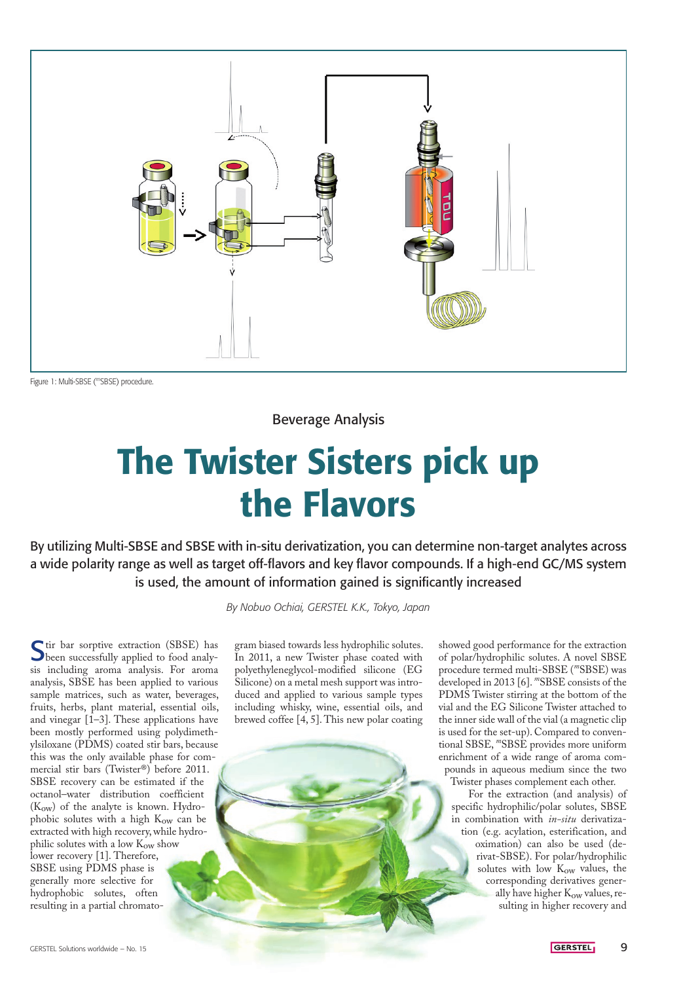

Figure 1: Multi-SBSE (*<sup>m</sup>*SBSE) procedure.

Beverage Analysis

# The Twister Sisters pick up the Flavors

By utilizing Multi-SBSE and SBSE with in-situ derivatization, you can determine non-target analytes across a wide polarity range as well as target off-flavors and key flavor compounds. If a high-end GC/MS system is used, the amount of information gained is significantly increased

*By Nobuo Ochiai, GERSTEL K.K., Tokyo, Japan*

Stir bar sorptive extraction (SBSE) has been successfully applied to food analysis including aroma analysis. For aroma analysis, SBSE has been applied to various sample matrices, such as water, beverages, fruits, herbs, plant material, essential oils, and vinegar  $[1-3]$ . These applications have been mostly performed using polydimethylsiloxane (PDMS) coated stir bars, because this was the only available phase for commercial stir bars (Twister®) before 2011. SBSE recovery can be estimated if the octanol–water distribution coefficient  $(K<sub>ow</sub>)$  of the analyte is known. Hydrophobic solutes with a high Kow can be extracted with high recovery, while hydrophilic solutes with a low  $K_{ow}$  show lower recovery [1]. Therefore, SBSE using PDMS phase is generally more selective for hydrophobic solutes, often resulting in a partial chromato-

gram biased towards less hydrophilic solutes. In 2011, a new Twister phase coated with polyethyleneglycol-modified silicone (EG Silicone) on a metal mesh support was introduced and applied to various sample types including whisky, wine, essential oils, and brewed coffee [4, 5]. This new polar coating

showed good performance for the extraction of polar/hydrophilic solutes. A novel SBSE procedure termed multi-SBSE (*m*SBSE) was developed in 2013 [6]. *m*SBSE consists of the PDMS Twister stirring at the bottom of the vial and the EG Silicone Twister attached to the inner side wall of the vial (a magnetic clip is used for the set-up). Compared to conventional SBSE, *m*SBSE provides more uniform enrichment of a wide range of aroma compounds in aqueous medium since the two Twister phases complement each other.

For the extraction (and analysis) of specific hydrophilic/polar solutes, SBSE in combination with *in-situ* derivatization (e.g. acylation, esterification, and oximation) can also be used (derivat-SBSE). For polar/hydrophilic solutes with low K<sub>ow</sub> values, the corresponding derivatives generally have higher Kow values, resulting in higher recovery and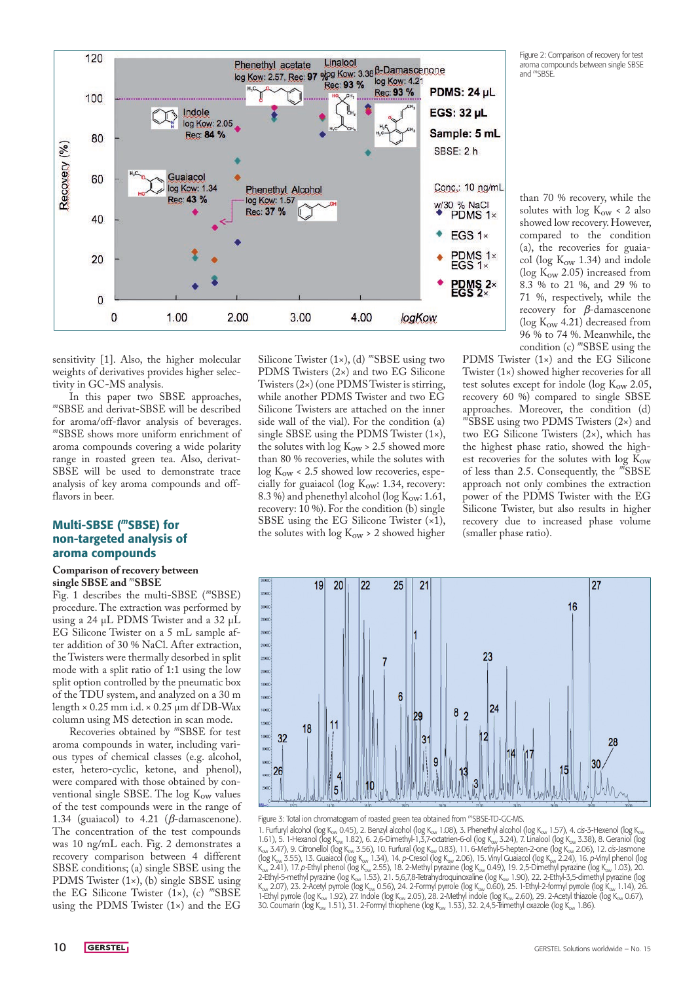ventional single SBSE. The  $log K<sub>ow</sub>$  values of the test compounds were in the range of 1.34 (guaiacol) to 4.21 ( $β$ -damascenone). The concentration of the test compounds was 10 ng/mL each. Fig. 2 demonstrates a recovery comparison between 4 different SBSE conditions; (a) single SBSE using the PDMS Twister (1×), (b) single SBSE using the EG Silicone Twister (1×), (c) *m*SBSE using the PDMS Twister (1×) and the EG

Silicone Twister (1×), (d) *m*SBSE using two PDMS Twisters (2×) and two EG Silicone Twisters (2×) (one PDMS Twister is stirring, while another PDMS Twister and two EG Silicone Twisters are attached on the inner side wall of the vial). For the condition (a) single SBSE using the PDMS Twister (1×), the solutes with  $\log K_{\text{ow}} > 2.5$  showed more than 80 % recoveries, while the solutes with  $log K<sub>ow</sub> < 2.5$  showed low recoveries, especially for guaiacol (log  $K_{ow}$ : 1.34, recovery: 8.3 %) and phenethyl alcohol (log  $K_{ow}: 1.61$ , recovery: 10 %). For the condition (b) single SBSE using the EG Silicone Twister (×1), the solutes with log  $K_{\text{ow}}$  > 2 showed higher

22

25

 $21$ 

19 20 PDMS Twister (1×) and the EG Silicone Twister (1×) showed higher recoveries for all test solutes except for indole ( $log K<sub>ow</sub> 2.05$ , recovery 60 %) compared to single SBSE approaches. Moreover, the condition (d) *<sup>m</sup>*SBSE using two PDMS Twisters (2×) and two EG Silicone Twisters (2×), which has the highest phase ratio, showed the highest recoveries for the solutes with log Kow of less than 2.5. Consequently, the *m*SBSE approach not only combines the extraction power of the PDMS Twister with the EG Silicone Twister, but also results in higher recovery due to increased phase volume (smaller phase ratio).

27

than 70 % recovery, while the solutes with  $log K_{ow} < 2$  also showed low recovery. However, compared to the condition (a), the recoveries for guaiacol (log  $K_{\text{ow}}$  1.34) and indole ( $log K_{ow}$  2.05) increased from 8.3 % to 21 %, and 29 % to 71 %, respectively, while the recovery for  $β$ -damascenone (log  $K<sub>ow</sub>$  4.21) decreased from 96 % to 74 %. Meanwhile, the condition (c) *m*SBSE using the

Figure 2: Comparison of recovery for test aroma compounds between single SBSE and *<sup>m</sup>*SBSE.



weights of derivatives provides higher selectivity in GC-MS analysis.<br>In this paper two SBSE approaches, In this paper two SBSE approaches, *m*SBSE and derivat-SBSE will be described

sensitivity [1]. Also, the higher molecular

for aroma/off-flavor analysis of beverages. *<sup>m</sup>*SBSE shows more uniform enrichment of aroma compounds covering a wide polarity range in roasted green tea. Also, derivat-SBSE will be used to demonstrate trace analysis of key aroma compounds and offflavors in beer.

# Multi-SBSE (*<sup>m</sup>*SBSE) for non-targeted analysis of aroma compounds

#### **Comparison of recovery between single SBSE and** *m***SBSE**

Fig. 1 describes the multi-SBSE (*m*SBSE) procedure. The extraction was performed by using a 24 µL PDMS Twister and a 32 µL EG Silicone Twister on a 5 mL sample after addition of 30 % NaCl. After extraction, the Twisters were thermally desorbed in split mode with a split ratio of 1:1 using the low split option controlled by the pneumatic box of the TDU system, and analyzed on a 30 m length × 0.25 mm i.d. × 0.25 µm df DB-Wax column using MS detection in scan mode.





Figure 3: Total ion chromatogram of roasted green tea obtained from *<sup>m</sup>*SBSE-TD-GC-MS.

1. Furfuryl alcohol (log K<sub>ow</sub> 0.45), 2. Benzyl alcohol (log K<sub>ow</sub> 1.08), 3. Phenethyl alcohol (log K<sub>ow</sub> 1.57), 4. *cis*-3-Hexenol (log K<sub>ow</sub> 1.61), 5. 1-Hexanol (log K<sub>ow</sub> 1.82), 6. 2,6-Dimethyl-1,3,7-octatrien-6-ol (log K<sub>ow</sub> 3.24), 7. Linalool (log K<sub>ow</sub> 3.38), 8. Geraniol (log K<sub>ow</sub> 3.47), 9. Citronellol (log K<sub>ow</sub> 3.56), 10. Furfural (log K<sub>ow</sub> 0.83), 11. 6-Methyl-5-hepten-2-one (log K<sub>ow</sub> 2.06), 12. *cis*-Jasmone (log Kow 3.55), 13. Guaiacol (log Kow 1.34), 14. *p*-Cresol (log Kow 2.06), 15. Vinyl Guaiacol (log Kow 2.24), 16. *p*-Vinyl phenol (log K<sub>ow</sub> 2.41), 17. *p*-Ethyl phenol (log K<sub>ow</sub> 2.55), 18. 2-Methyl pyrazine (log K<sub>ow</sub> 0.49), 19. 2,5-Dimethyl pyrazine (log K<sub>ow</sub> 1.03), 20. 2-Ethyl-5-methyl pyrazine (log K<sub>ow</sub> 1.53), 21. 5,6,7,8-Tetrahydroquinoxaline (log K<sub>ow</sub> 1.90), 22. 2-Ethyl-3,5-dimethyl pyrazine (log K<sub>ow</sub> 2.07), 23. 2-Acetyl pyrrole (log K<sub>ow</sub> 0.56), 24. 2-Formyl pyrrole (log K<sub>ow</sub> 0.60), 25. 1-Ethyl-2-formyl pyrrole (log K<sub>ow</sub> 1.14), 26. 1-Ethyl pyrrole (log K<sub>ow</sub> 1.92), 27. Indole (log K<sub>ow</sub> 2.05), 28. 2-Methyl indole (log K<sub>ow</sub> 2.60), 29. 2-Acetyl thiazole (log K<sub>ow</sub> 0.67), 30. Coumarin (log K<sub>ow</sub> 1.51), 31. 2-Formyl thiophene (log K<sub>ow</sub> 1.53), 32. 2,4,5-Trimethyl oxazole (log K<sub>ow</sub> 1.86).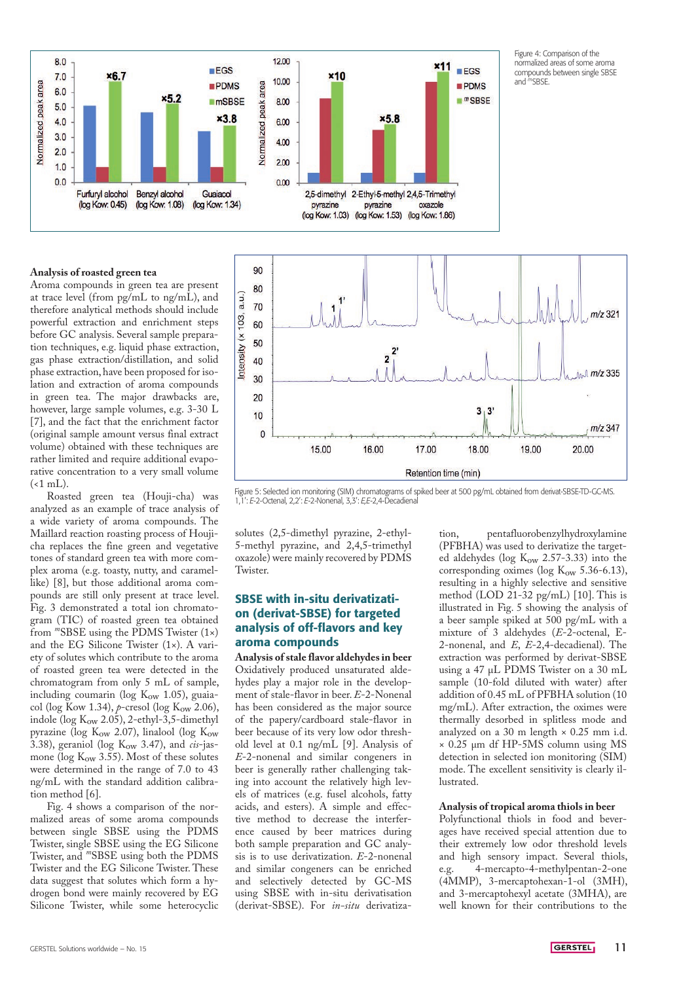

Figure 4: Comparison of the normalized areas of some aroma compounds between single SBSE and *<sup>m</sup>*SBSE.

#### **Analysis of roasted green tea**

Aroma compounds in green tea are present at trace level (from pg/mL to ng/mL), and therefore analytical methods should include powerful extraction and enrichment steps before GC analysis. Several sample preparation techniques, e.g. liquid phase extraction, gas phase extraction/distillation, and solid phase extraction, have been proposed for isolation and extraction of aroma compounds in green tea. The major drawbacks are, however, large sample volumes, e.g. 3-30 L [7], and the fact that the enrichment factor (original sample amount versus final extract volume) obtained with these techniques are rather limited and require additional evaporative concentration to a very small volume  $(\leq 1$  mL).

Roasted green tea (Houji-cha) was analyzed as an example of trace analysis of a wide variety of aroma compounds. The Maillard reaction roasting process of Houjicha replaces the fine green and vegetative tones of standard green tea with more complex aroma (e.g. toasty, nutty, and caramellike) [8], but those additional aroma compounds are still only present at trace level. Fig. 3 demonstrated a total ion chromatogram (TIC) of roasted green tea obtained from *m*SBSE using the PDMS Twister (1×) and the EG Silicone Twister (1×). A variety of solutes which contribute to the aroma of roasted green tea were detected in the chromatogram from only 5 mL of sample, including coumarin (log  $K_{\text{ow}}$  1.05), guaiacol (log Kow 1.34), *p*-cresol (log K<sub>ow</sub> 2.06), indole (log  $K_{ow}$  2.05), 2-ethyl-3,5-dimethyl pyrazine (log  $K_{\text{ow}}$  2.07), linalool (log  $K_{\text{ow}}$ 3.38), geraniol (log K<sub>ow</sub> 3.47), and *cis*-jasmone (log  $K_{ow}$  3.55). Most of these solutes were determined in the range of 7.0 to 43 ng/mL with the standard addition calibration method [6].

Fig. 4 shows a comparison of the normalized areas of some aroma compounds between single SBSE using the PDMS Twister, single SBSE using the EG Silicone Twister, and *m*SBSE using both the PDMS Twister and the EG Silicone Twister. These data suggest that solutes which form a hydrogen bond were mainly recovered by EG Silicone Twister, while some heterocyclic



Figure 5: Selected ion monitoring (SIM) chromatograms of spiked beer at 500 pg/mL obtained from derivat-SBSE-TD-GC-MS. 1,1': *E*-2-Octenal, 2,2': *E*-2-Nonenal, 3,3': *E,E*-2,4-Decadienal

solutes (2,5-dimethyl pyrazine, 2-ethyl-5-methyl pyrazine, and 2,4,5-trimethyl oxazole) were mainly recovered by PDMS Twister.

### SBSE with in-situ derivatization (derivat-SBSE) for targeted analysis of off-flavors and key aroma compounds

**Analysis of stale flavor aldehydes in beer** Oxidatively produced unsaturated aldehydes play a major role in the development of stale-flavor in beer. *E*-2-Nonenal has been considered as the major source of the papery/cardboard stale-flavor in beer because of its very low odor threshold level at 0.1 ng/mL [9]. Analysis of *E*-2-nonenal and similar congeners in beer is generally rather challenging taking into account the relatively high levels of matrices (e.g. fusel alcohols, fatty acids, and esters). A simple and effective method to decrease the interference caused by beer matrices during both sample preparation and GC analysis is to use derivatization. *E*-2-nonenal and similar congeners can be enriched and selectively detected by GC-MS using SBSE with in-situ derivatisation (derivat-SBSE). For *in-situ* derivatiza-

tion, pentafluorobenzylhydroxylamine (PFBHA) was used to derivatize the targeted aldehydes (log  $K_{\text{ow}}$  2.57-3.33) into the corresponding oximes (log  $K_{ow}$  5.36-6.13), resulting in a highly selective and sensitive method (LOD 21-32 pg/mL) [10]. This is illustrated in Fig. 5 showing the analysis of a beer sample spiked at 500 pg/mL with a mixture of 3 aldehydes (*E*-2-octenal, E-2-nonenal, and *E*, *E*-2,4-decadienal). The extraction was performed by derivat-SBSE using a 47 µL PDMS Twister on a 30 mL sample (10-fold diluted with water) after addition of 0.45 mL of PFBHA solution (10 mg/mL). After extraction, the oximes were thermally desorbed in splitless mode and analyzed on a 30 m length  $\times$  0.25 mm i.d. × 0.25 µm df HP-5MS column using MS detection in selected ion monitoring (SIM) mode. The excellent sensitivity is clearly illustrated.

#### **Analysis of tropical aroma thiols in beer**

Polyfunctional thiols in food and beverages have received special attention due to their extremely low odor threshold levels and high sensory impact. Several thiols, e.g. 4-mercapto-4-methylpentan-2-one (4MMP), 3-mercaptohexan-1-ol (3MH), and 3-mercaptohexyl acetate (3MHA), are well known for their contributions to the